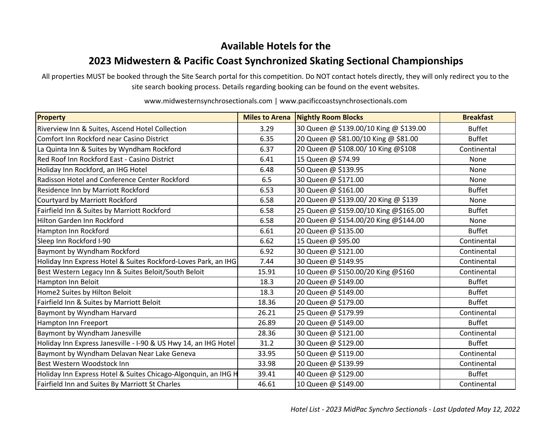## **Available Hotels for the**

## **2023 Midwestern & Pacific Coast Synchronized Skating Sectional Championships**

All properties MUST be booked through the Site Search portal for this competition. Do NOT contact hotels directly, they will only redirect you to the site search booking process. Details regarding booking can be found on the event websites.

| <b>Property</b>                                                 | <b>Miles to Arena</b> | <b>Nightly Room Blocks</b>             | <b>Breakfast</b> |
|-----------------------------------------------------------------|-----------------------|----------------------------------------|------------------|
| Riverview Inn & Suites, Ascend Hotel Collection                 | 3.29                  | 30 Queen @ \$139.00/10 King @ \$139.00 | <b>Buffet</b>    |
| Comfort Inn Rockford near Casino District                       | 6.35                  | 20 Queen @ \$81.00/10 King @ \$81.00   | <b>Buffet</b>    |
| La Quinta Inn & Suites by Wyndham Rockford                      | 6.37                  | 20 Queen @ \$108.00/ 10 King @\$108    | Continental      |
| Red Roof Inn Rockford East - Casino District                    | 6.41                  | 15 Queen @ \$74.99                     | None             |
| Holiday Inn Rockford, an IHG Hotel                              | 6.48                  | 50 Queen @ \$139.95                    | None             |
| Radisson Hotel and Conference Center Rockford                   | 6.5                   | 30 Queen @ \$171.00                    | None             |
| Residence Inn by Marriott Rockford                              | 6.53                  | 30 Queen @ \$161.00                    | <b>Buffet</b>    |
| Courtyard by Marriott Rockford                                  | 6.58                  | 20 Queen @ \$139.00/ 20 King @ \$139   | None             |
| Fairfield Inn & Suites by Marriott Rockford                     | 6.58                  | 25 Queen @ \$159.00/10 King @\$165.00  | <b>Buffet</b>    |
| Hilton Garden Inn Rockford                                      | 6.58                  | 20 Queen @ \$154.00/20 King @\$144.00  | None             |
| Hampton Inn Rockford                                            | 6.61                  | 20 Queen @ \$135.00                    | <b>Buffet</b>    |
| Sleep Inn Rockford I-90                                         | 6.62                  | 15 Queen @ \$95.00                     | Continental      |
| Baymont by Wyndham Rockford                                     | 6.92                  | 30 Queen @ \$121.00                    | Continental      |
| Holiday Inn Express Hotel & Suites Rockford-Loves Park, an IHG  | 7.44                  | 30 Queen @ \$149.95                    | Continental      |
| Best Western Legacy Inn & Suites Beloit/South Beloit            | 15.91                 | 10 Queen @ \$150.00/20 King @\$160     | Continental      |
| Hampton Inn Beloit                                              | 18.3                  | 20 Queen @ \$149.00                    | <b>Buffet</b>    |
| Home2 Suites by Hilton Beloit                                   | 18.3                  | 20 Queen @ \$149.00                    | <b>Buffet</b>    |
| Fairfield Inn & Suites by Marriott Beloit                       | 18.36                 | 20 Queen @ \$179.00                    | <b>Buffet</b>    |
| Baymont by Wyndham Harvard                                      | 26.21                 | 25 Queen @ \$179.99                    | Continental      |
| Hampton Inn Freeport                                            | 26.89                 | 20 Queen @ \$149.00                    | <b>Buffet</b>    |
| Baymont by Wyndham Janesville                                   | 28.36                 | 30 Queen @ \$121.00                    | Continental      |
| Holiday Inn Express Janesville - I-90 & US Hwy 14, an IHG Hotel | 31.2                  | 30 Queen @ \$129.00                    | <b>Buffet</b>    |
| Baymont by Wyndham Delavan Near Lake Geneva                     | 33.95                 | 50 Queen @ \$119.00                    | Continental      |
| Best Western Woodstock Inn                                      | 33.98                 | 20 Queen @ \$139.99                    | Continental      |
| Holiday Inn Express Hotel & Suites Chicago-Algonquin, an IHG H  | 39.41                 | 40 Queen @ \$129.00                    | <b>Buffet</b>    |
| Fairfield Inn and Suites By Marriott St Charles                 | 46.61                 | 10 Queen @ \$149.00                    | Continental      |

www.midwesternsynchrosectionals.com | www.pacificcoastsynchrosectionals.com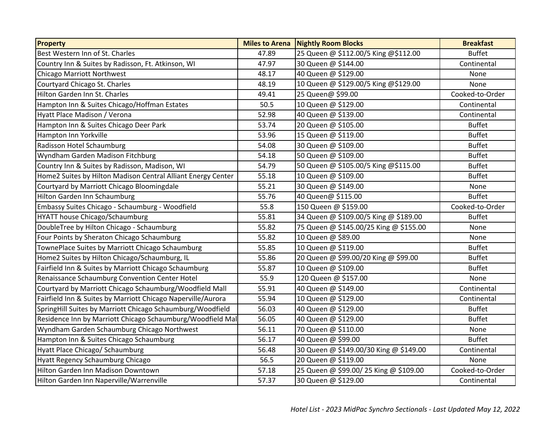| Property                                                     | <b>Miles to Arena</b> | <b>Nightly Room Blocks</b>             | <b>Breakfast</b> |
|--------------------------------------------------------------|-----------------------|----------------------------------------|------------------|
| Best Western Inn of St. Charles                              | 47.89                 | 25 Queen @ \$112.00/5 King @\$112.00   | <b>Buffet</b>    |
| Country Inn & Suites by Radisson, Ft. Atkinson, WI           | 47.97                 | 30 Queen @ \$144.00                    | Continental      |
| Chicago Marriott Northwest                                   | 48.17                 | 40 Queen @ \$129.00                    | None             |
| Courtyard Chicago St. Charles                                | 48.19                 | 10 Queen @ \$129.00/5 King @\$129.00   | None             |
| Hilton Garden Inn St. Charles                                | 49.41                 | 25 Queen@ \$99.00                      | Cooked-to-Order  |
| Hampton Inn & Suites Chicago/Hoffman Estates                 | 50.5                  | 10 Queen @ \$129.00                    | Continental      |
| Hyatt Place Madison / Verona                                 | 52.98                 | 40 Queen @ \$139.00                    | Continental      |
| Hampton Inn & Suites Chicago Deer Park                       | 53.74                 | 20 Queen @ \$105.00                    | <b>Buffet</b>    |
| Hampton Inn Yorkville                                        | 53.96                 | 15 Queen @ \$119.00                    | <b>Buffet</b>    |
| Radisson Hotel Schaumburg                                    | 54.08                 | 30 Queen @ \$109.00                    | <b>Buffet</b>    |
| Wyndham Garden Madison Fitchburg                             | 54.18                 | 50 Queen @ \$109.00                    | <b>Buffet</b>    |
| Country Inn & Suites by Radisson, Madison, WI                | 54.79                 | 50 Queen @ \$105.00/5 King @\$115.00   | <b>Buffet</b>    |
| Home2 Suites by Hilton Madison Central Alliant Energy Center | 55.18                 | 10 Queen @ \$109.00                    | <b>Buffet</b>    |
| Courtyard by Marriott Chicago Bloomingdale                   | 55.21                 | 30 Queen @ \$149.00                    | None             |
| Hilton Garden Inn Schaumburg                                 | 55.76                 | 40 Queen@ \$115.00                     | <b>Buffet</b>    |
| Embassy Suites Chicago - Schaumburg - Woodfield              | 55.8                  | 150 Queen @ \$159.00                   | Cooked-to-Order  |
| HYATT house Chicago/Schaumburg                               | 55.81                 | 34 Queen @ \$109.00/5 King @ \$189.00  | <b>Buffet</b>    |
| DoubleTree by Hilton Chicago - Schaumburg                    | 55.82                 | 75 Queen @ \$145.00/25 King @ \$155.00 | None             |
| Four Points by Sheraton Chicago Schaumburg                   | 55.82                 | 10 Queen @ \$89.00                     | None             |
| TownePlace Suites by Marriott Chicago Schaumburg             | 55.85                 | 10 Queen @ \$119.00                    | <b>Buffet</b>    |
| Home2 Suites by Hilton Chicago/Schaumburg, IL                | 55.86                 | 20 Queen @ \$99.00/20 King @ \$99.00   | <b>Buffet</b>    |
| Fairfield Inn & Suites by Marriott Chicago Schaumburg        | 55.87                 | 10 Queen @ \$109.00                    | <b>Buffet</b>    |
| Renaissance Schaumburg Convention Center Hotel               | 55.9                  | 120 Queen @ \$157.00                   | None             |
| Courtyard by Marriott Chicago Schaumburg/Woodfield Mall      | 55.91                 | 40 Queen @ \$149.00                    | Continental      |
| Fairfield Inn & Suites by Marriott Chicago Naperville/Aurora | 55.94                 | 10 Queen @ \$129.00                    | Continental      |
| SpringHill Suites by Marriott Chicago Schaumburg/Woodfield   | 56.03                 | 40 Queen @ \$129.00                    | <b>Buffet</b>    |
| Residence Inn by Marriott Chicago Schaumburg/Woodfield Mal   | 56.05                 | 40 Queen @ \$129.00                    | <b>Buffet</b>    |
| Wyndham Garden Schaumburg Chicago Northwest                  | 56.11                 | 70 Queen @ \$110.00                    | None             |
| Hampton Inn & Suites Chicago Schaumburg                      | 56.17                 | 40 Queen @ \$99.00                     | <b>Buffet</b>    |
| Hyatt Place Chicago/ Schaumburg                              | 56.48                 | 30 Queen @ \$149.00/30 King @ \$149.00 | Continental      |
| Hyatt Regency Schaumburg Chicago                             | 56.5                  | 20 Queen @ \$119.00                    | None             |
| Hilton Garden Inn Madison Downtown                           | 57.18                 | 25 Queen @ \$99.00/25 King @ \$109.00  | Cooked-to-Order  |
| Hilton Garden Inn Naperville/Warrenville                     | 57.37                 | 30 Queen @ \$129.00                    | Continental      |